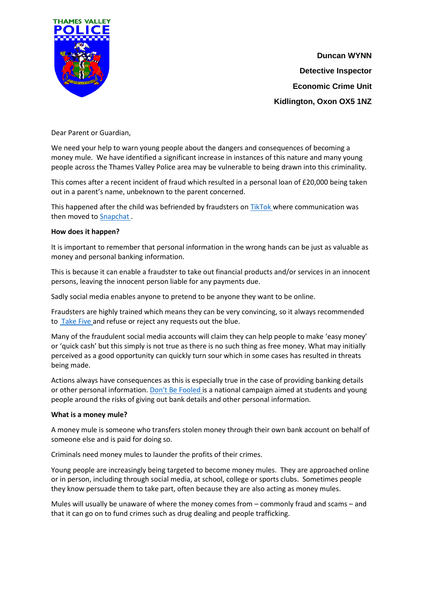

**Duncan WYNN Detective Inspector Economic Crime Unit Kidlington, Oxon OX5 1NZ**

Dear Parent or Guardian,

We need your help to warn young people about the dangers and consequences of becoming a money mule. We have identified a significant increase in instances of this nature and many young people across the Thames Valley Police area may be vulnerable to being drawn into this criminality.

This comes after a recent incident of fraud which resulted in a personal loan of £20,000 being taken out in a parent's name, unbeknown to the parent concerned.

This happened after the child was befriended by fraudsters o[n TikTok w](https://www.tiktok.com/en/)here communication was then moved t[o Snapchat .](https://www.snapchat.com/)

## **How does it happen?**

It is important to remember that personal information in the wrong hands can be just as valuable as money and personal banking information.

This is because it can enable a fraudster to take out financial products and/or services in an innocent persons, leaving the innocent person liable for any payments due.

Sadly social media enables anyone to pretend to be anyone they want to be online.

Fraudsters are highly trained which means they can be very convincing, so it always recommended to **Take Five and refuse or reject any requests out the blue.** 

Many of the fraudulent social media accounts will claim they can help people to make 'easy money' or 'quick cash' but this simply is not true as there is no such thing as free money. What may initially perceived as a good opportunity can quickly turn sour which in some cases has resulted in threats being made.

Actions always have consequences as this is especially true in the case of providing banking details or other personal information. [Don't Be Fooled i](https://www.moneymules.co.uk/about/)s a national campaign aimed at students and young people around the risks of giving out bank details and other personal information.

#### **What is a money mule?**

A money mule is someone who transfers stolen money through their own bank account on behalf of someone else and is paid for doing so.

Criminals need money mules to launder the profits of their crimes.

Young people are increasingly being targeted to become money mules. They are approached online or in person, including through social media, at school, college or sports clubs. Sometimes people they know persuade them to take part, often because they are also acting as money mules.

Mules will usually be unaware of where the money comes from – commonly fraud and scams – and that it can go on to fund crimes such as drug dealing and people trafficking.